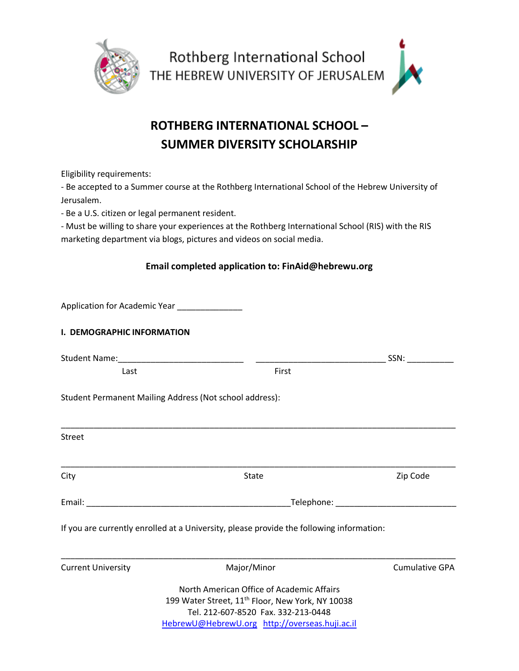

## **ROTHBERG INTERNATIONAL SCHOOL – SUMMER DIVERSITY SCHOLARSHIP**

Eligibility requirements:

- Be accepted to a Summer course at the Rothberg International School of the Hebrew University of Jerusalem.

- Be a U.S. citizen or legal permanent resident.

- Must be willing to share your experiences at the Rothberg International School (RIS) with the RIS marketing department via blogs, pictures and videos on social media.

## **Email completed application to: FinAid@hebrewu.org**

|                                                  | Application for Academic Year <b>National Application</b>                                                      |                                                                                                                                                  |  |                       |  |
|--------------------------------------------------|----------------------------------------------------------------------------------------------------------------|--------------------------------------------------------------------------------------------------------------------------------------------------|--|-----------------------|--|
| <b>I. DEMOGRAPHIC INFORMATION</b>                |                                                                                                                |                                                                                                                                                  |  |                       |  |
| Student Name:___________________________________ |                                                                                                                |                                                                                                                                                  |  | SSN:                  |  |
| Last                                             |                                                                                                                | First                                                                                                                                            |  |                       |  |
|                                                  | Student Permanent Mailing Address (Not school address):                                                        |                                                                                                                                                  |  |                       |  |
| <b>Street</b>                                    |                                                                                                                |                                                                                                                                                  |  |                       |  |
| City                                             | State                                                                                                          |                                                                                                                                                  |  | Zip Code              |  |
|                                                  | Telephone: The Contract of the Contract of the Contract of the Contract of the Contract of the Contract of the |                                                                                                                                                  |  |                       |  |
|                                                  | If you are currently enrolled at a University, please provide the following information:                       |                                                                                                                                                  |  |                       |  |
| <b>Current University</b>                        |                                                                                                                | Major/Minor                                                                                                                                      |  | <b>Cumulative GPA</b> |  |
|                                                  | HebrewU@HebrewU.org http://overseas.huji.ac.il                                                                 | North American Office of Academic Affairs<br>199 Water Street, 11 <sup>th</sup> Floor, New York, NY 10038<br>Tel. 212-607-8520 Fax. 332-213-0448 |  |                       |  |